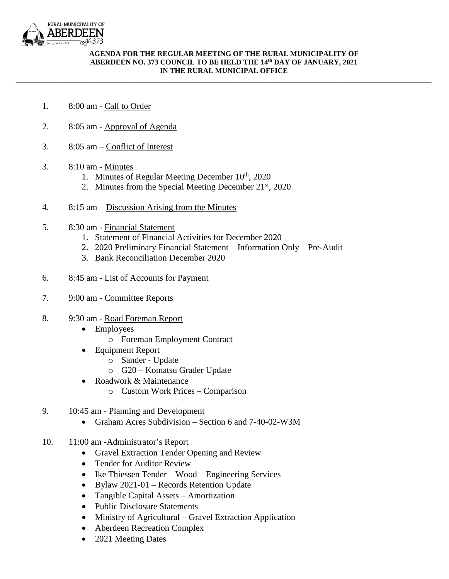

## **AGENDA FOR THE REGULAR MEETING OF THE RURAL MUNICIPALITY OF ABERDEEN NO. 373 COUNCIL TO BE HELD THE 14th DAY OF JANUARY, 2021 IN THE RURAL MUNICIPAL OFFICE**

\_\_\_\_\_\_\_\_\_\_\_\_\_\_\_\_\_\_\_\_\_\_\_\_\_\_\_\_\_\_\_\_\_\_\_\_\_\_\_\_\_\_\_\_\_\_\_\_\_\_\_\_\_\_\_\_\_\_\_\_\_\_\_\_\_\_\_\_\_\_\_\_\_\_\_\_\_\_\_\_\_\_\_\_\_\_\_\_\_\_\_\_\_\_\_\_\_\_\_\_\_\_\_\_\_\_\_\_

- 1. 8:00 am Call to Order
- 2. 8:05 am Approval of Agenda
- 3. 8:05 am Conflict of Interest
- 3. 8:10 am Minutes
	- 1. Minutes of Regular Meeting December  $10<sup>th</sup>$ , 2020
	- 2. Minutes from the Special Meeting December  $21<sup>st</sup>$ , 2020
- 4. 8:15 am Discussion Arising from the Minutes
- 5. 8:30 am Financial Statement
	- 1. Statement of Financial Activities for December 2020
	- 2. 2020 Preliminary Financial Statement Information Only Pre-Audit
	- 3. Bank Reconciliation December 2020
- 6. 8:45 am List of Accounts for Payment
- 7. 9:00 am Committee Reports
- 8. 9:30 am Road Foreman Report
	- Employees
		- o Foreman Employment Contract
	- Equipment Report
		- o Sander Update
		- o G20 Komatsu Grader Update
	- Roadwork & Maintenance
		- o Custom Work Prices Comparison
- 9. 10:45 am Planning and Development
	- Graham Acres Subdivision Section 6 and 7-40-02-W3M
- 10. 11:00 am -Administrator's Report
	- Gravel Extraction Tender Opening and Review
	- Tender for Auditor Review
	- Ike Thiessen Tender Wood Engineering Services
	- Bylaw 2021-01 Records Retention Update
	- Tangible Capital Assets Amortization
	- Public Disclosure Statements
	- Ministry of Agricultural Gravel Extraction Application
	- Aberdeen Recreation Complex
	- 2021 Meeting Dates